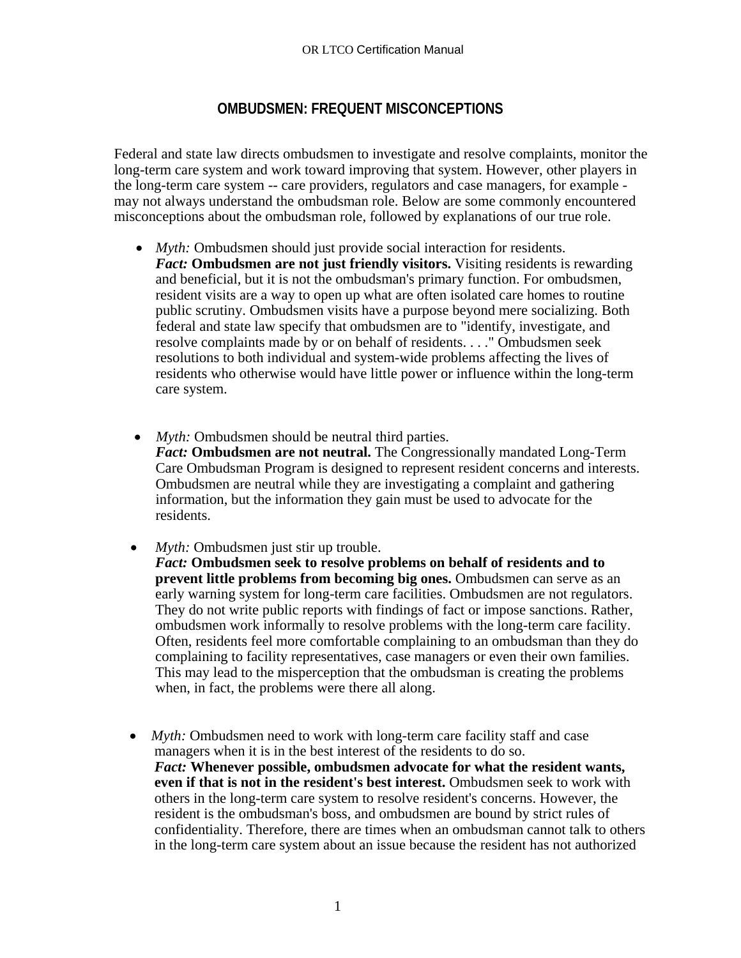## **OMBUDSMEN: FREQUENT MISCONCEPTIONS**

Federal and state law directs ombudsmen to investigate and resolve complaints, monitor the long-term care system and work toward improving that system. However, other players in the long-term care system -- care providers, regulators and case managers, for example may not always understand the ombudsman role. Below are some commonly encountered misconceptions about the ombudsman role, followed by explanations of our true role.

- *Myth:* Ombudsmen should just provide social interaction for residents. *Fact:* **Ombudsmen are not just friendly visitors.** Visiting residents is rewarding and beneficial, but it is not the ombudsman's primary function. For ombudsmen, resident visits are a way to open up what are often isolated care homes to routine public scrutiny. Ombudsmen visits have a purpose beyond mere socializing. Both federal and state law specify that ombudsmen are to "identify, investigate, and resolve complaints made by or on behalf of residents. . . ." Ombudsmen seek resolutions to both individual and system-wide problems affecting the lives of residents who otherwise would have little power or influence within the long-term care system.
- *Myth:* Ombudsmen should be neutral third parties. *Fact:* **Ombudsmen are not neutral.** The Congressionally mandated Long-Term Care Ombudsman Program is designed to represent resident concerns and interests. Ombudsmen are neutral while they are investigating a complaint and gathering information, but the information they gain must be used to advocate for the residents.
- *Myth:* Ombudsmen just stir up trouble. *Fact:* **Ombudsmen seek to resolve problems on behalf of residents and to prevent little problems from becoming big ones.** Ombudsmen can serve as an early warning system for long-term care facilities. Ombudsmen are not regulators. They do not write public reports with findings of fact or impose sanctions. Rather, ombudsmen work informally to resolve problems with the long-term care facility. Often, residents feel more comfortable complaining to an ombudsman than they do complaining to facility representatives, case managers or even their own families. This may lead to the misperception that the ombudsman is creating the problems when, in fact, the problems were there all along.
- *Myth:* Ombudsmen need to work with long-term care facility staff and case managers when it is in the best interest of the residents to do so. *Fact:* **Whenever possible, ombudsmen advocate for what the resident wants, even if that is not in the resident's best interest.** Ombudsmen seek to work with others in the long-term care system to resolve resident's concerns. However, the resident is the ombudsman's boss, and ombudsmen are bound by strict rules of confidentiality. Therefore, there are times when an ombudsman cannot talk to others in the long-term care system about an issue because the resident has not authorized